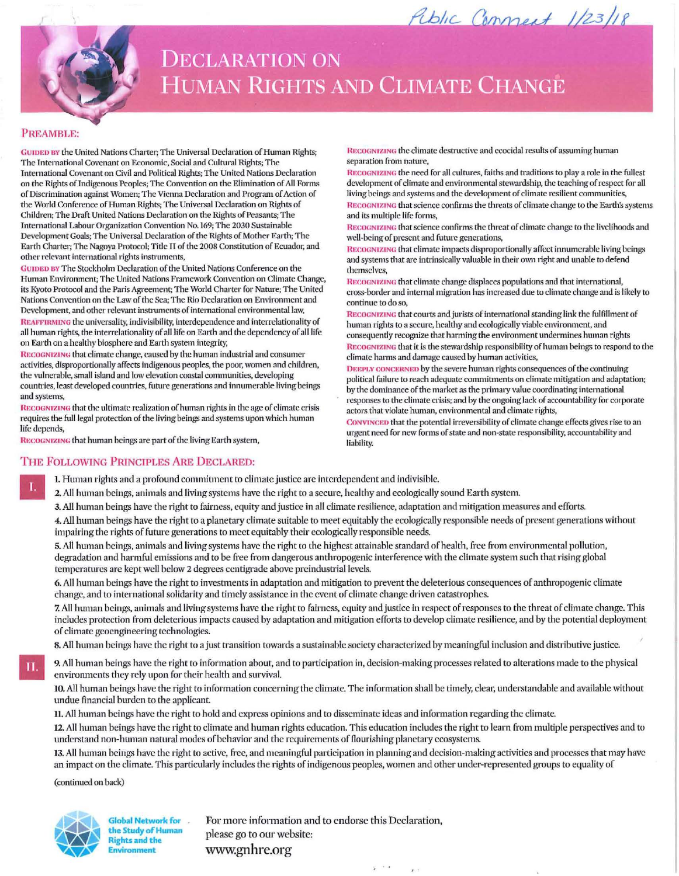

## **DECLARATION ON HUMAN RIGHTS AND CLIMATE CHANGE**

## PREAMBLE:

GUIDED BY the United Nations Charter; The Universal Declaration of Human Rights; The International Covenant on Economic, Social and Cultural Rights: The International Covenant on Civil and Political Rights; The United Nations Declaration on the Rights of Indigenous Peoples; The Convention on the Elimination of All Forms of Discrimination against Women; The Vienna Declaration and Program of Action of the World Conference of Human Rights; The Universal Declaration on Rights of Children; The Draft United Nations Declaration on the Rights of Peasants; The International Labour Organization Convention No. 169; The 2030 Sustainable Development Goals; The Universal Declaration of the Rights of Mother Earth; The Earth Charter; The Nagova Protocol; Title II of the 2008 Constitution of Ecuador, and other relevant international rights instruments,

GUIDED BY The Stockholm Declaration of the United Nations Conference on the Human Environment: The United Nations Framework Convention on Climate Change, its Kyoto Protocol and the Paris Agreement; The World Charter for Nature; The United Nations Convention on the Law of the Sea; The Rio Declaration on Environment and Development, and other relevant instruments of international environmental law, REAFFIRMING the universality, indivisibility, interdependence and interrelationality of all human rights, the interrelationality of all life on Earth and the dependency of all life on Earth on a healthy biosphere and Earth system integrity,

RECOGNIZING that climate change, caused by the human industrial and consumer activities, disproportionally affects indigenous peoples, the poor, women and children, the vulnerable, small island and low elevation coastal communities, developing countries, least developed countries, future generations and innumerable living beings and systems.

RECOGNIZING that the ultimate realization of human rights in the age of climate crisis requires the full legal protection of the living beings and systems upon which human life depends,

RECOGNIZING that human beings are part of the living Earth system,

RECOGNIZING the climate destructive and ecocidal results of assuming human separation from nature,

RECOGNIZING the need for all cultures, faiths and traditions to play a role in the fullest development of climate and environmental stewardship, the teaching of respect for all living beings and systems and the development of climate resilient communities, RECOGNIZING that science confirms the threats of climate change to the Earth's systems and its multiple life forms,

Public Comment 1/23/18

RECOGNIZING that science confirms the threat of climate change to the livelihoods and well-being of present and future generations,

RECOGNIZING that climate impacts disproportionally affect innumerable living beings and systems that are intrinsically valuable in their own right and unable to defend themselves.

RECOGNIZING that climate change displaces populations and that international, cross-border and internal migration has increased due to climate change and is likely to continue to do so

RECOGNIZING that courts and jurists of international standing link the fulfillment of human rights to a secure, healthy and ecologically viable environment, and consequently recognize that harming the environment undermines human rights RECOGNIZING that it is the stewardship responsibility of human beings to respond to the climate harms and damage caused by human activities,

DEEPLY CONCERNED by the severe human rights consequences of the continuing political failure to reach adequate commitments on climate mitigation and adaptation; by the dominance of the market as the primary value coordinating international responses to the climate crisis; and by the ongoing lack of accountability for corporate actors that violate human, environmental and climate rights,

CONVINCED that the potential irreversibility of climate change effects gives rise to an urgent need for new forms of state and non-state responsibility, accountability and liability.

## THE FOLLOWING PRINCIPLES ARE DECLARED:

1. Human rights and a profound commitment to climate justice are interdependent and indivisible.

2. All human beings, animals and living systems have the right to a secure, healthy and ecologically sound Earth system.

3. All human beings have the right to fairness, equity and justice in all climate resilience, adaptation and mitigation measures and efforts.

4. All human beings have the right to a planetary climate suitable to meet equitably the ecologically responsible needs of present generations without impairing the rights of future generations to meet equitably their ecologically responsible needs.

5. All human beings, animals and living systems have the right to the highest attainable standard of health, free from environmental pollution, degradation and harmful emissions and to be free from dangerous anthropogenic interference with the climate system such that rising global temperatures are kept well below 2 degrees centigrade above preindustrial levels.

6. All human beings have the right to investments in adaptation and mitigation to prevent the deleterious consequences of anthropogenic climate change, and to international solidarity and timely assistance in the event of climate change driven catastrophes.

7. All human beings, animals and living systems have the right to fairness, equity and justice in respect of responses to the threat of climate change. This includes protection from deleterious impacts caused by adaptation and mitigation efforts to develop climate resilience, and by the potential deployment of climate geoengineering technologies.

8. All human beings have the right to a just transition towards a sustainable society characterized by meaningful inclusion and distributive justice.

9. All human beings have the right to information about, and to participation in, decision-making processes related to alterations made to the physical environments they rely upon for their health and survival.

10. All human beings have the right to information concerning the climate. The information shall be timely, clear, understandable and available without undue financial burden to the applicant.

11. All human beings have the right to hold and express opinions and to disseminate ideas and information regarding the climate.

12. All human beings have the right to climate and human rights education. This education includes the right to learn from multiple perspectives and to understand non-human natural modes of behavior and the requirements of flourishing planetary ecosystems.

13. All human beings have the right to active, free, and meaningful participation in planning and decision-making activities and processes that may have an impact on the climate. This particularly includes the rights of indigenous peoples, women and other under-represented groups to equality of

(continued on back)



Global Network for . the Study of Human lights and the nvironment

For more information and to endorse this Declaration, please go to our website: www.gnhre.org